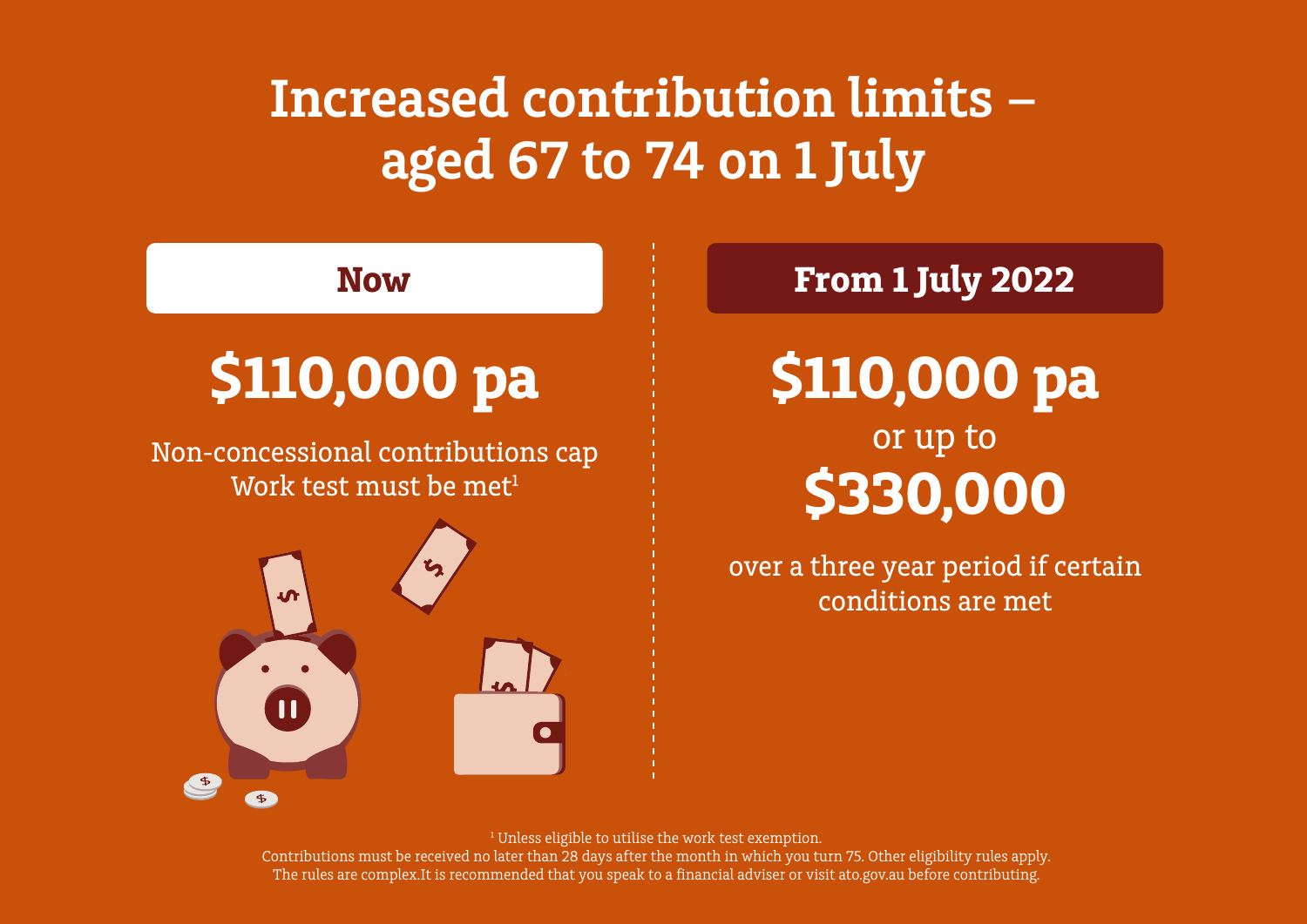## **Increased contribution limits – aged 67 to 74 on 1 July**



<sup>1</sup> Unless eligible to utilise the work test exemption.

Contributions must be received no later than 28 days after the month in which you turn 75. Other eligibility rules apply. The rules are complex.It is recommended that you speak to a financial adviser or visit ato.gov.au before contributing.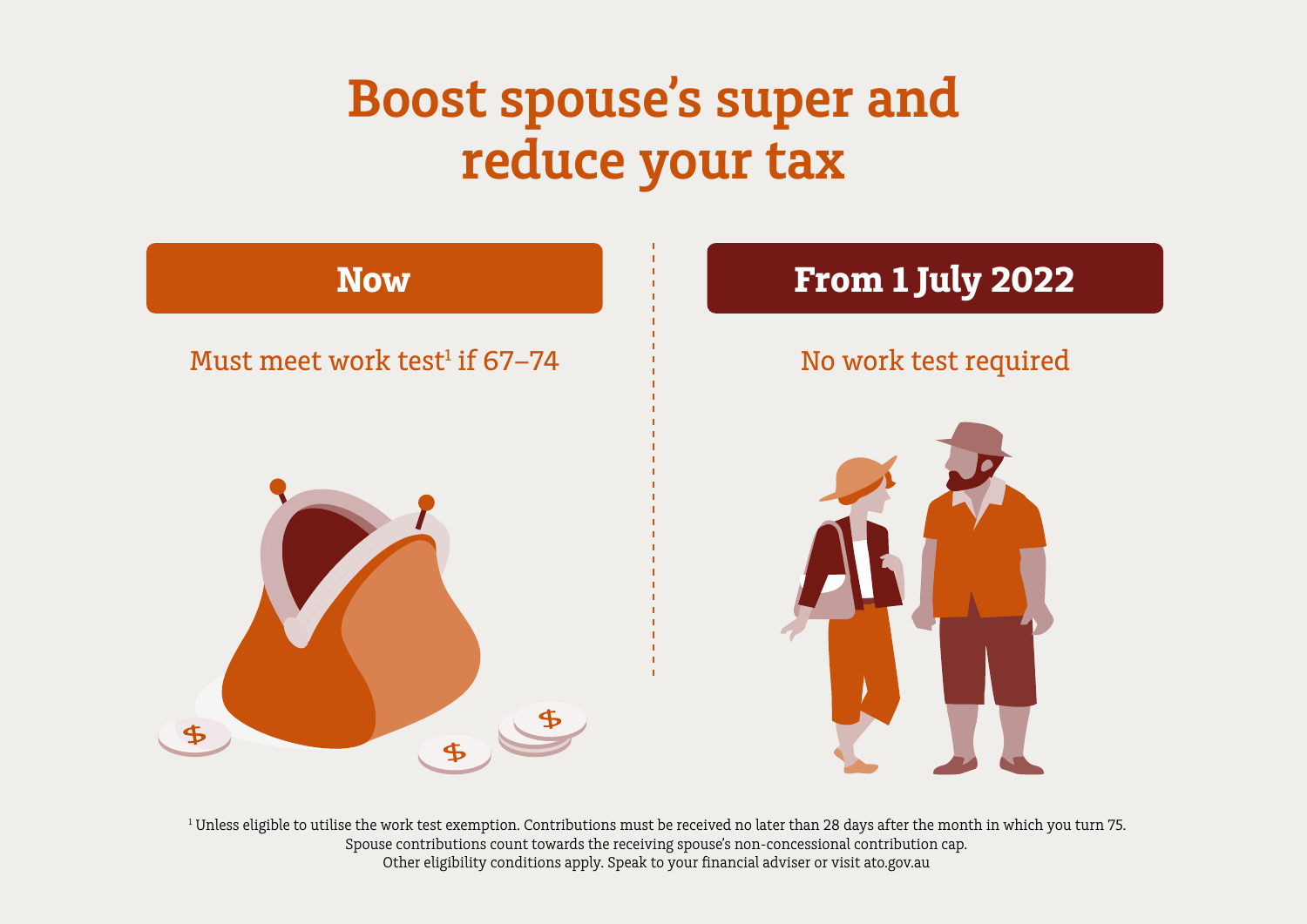## **Boost spouse's super and reduce your tax**



<sup>1</sup> Unless eligible to utilise the work test exemption. Contributions must be received no later than 28 days after the month in which you turn 75. Spouse contributions count towards the receiving spouse's non-concessional contribution cap. Other eligibility conditions apply. Speak to your financial adviser or visit ato.gov.au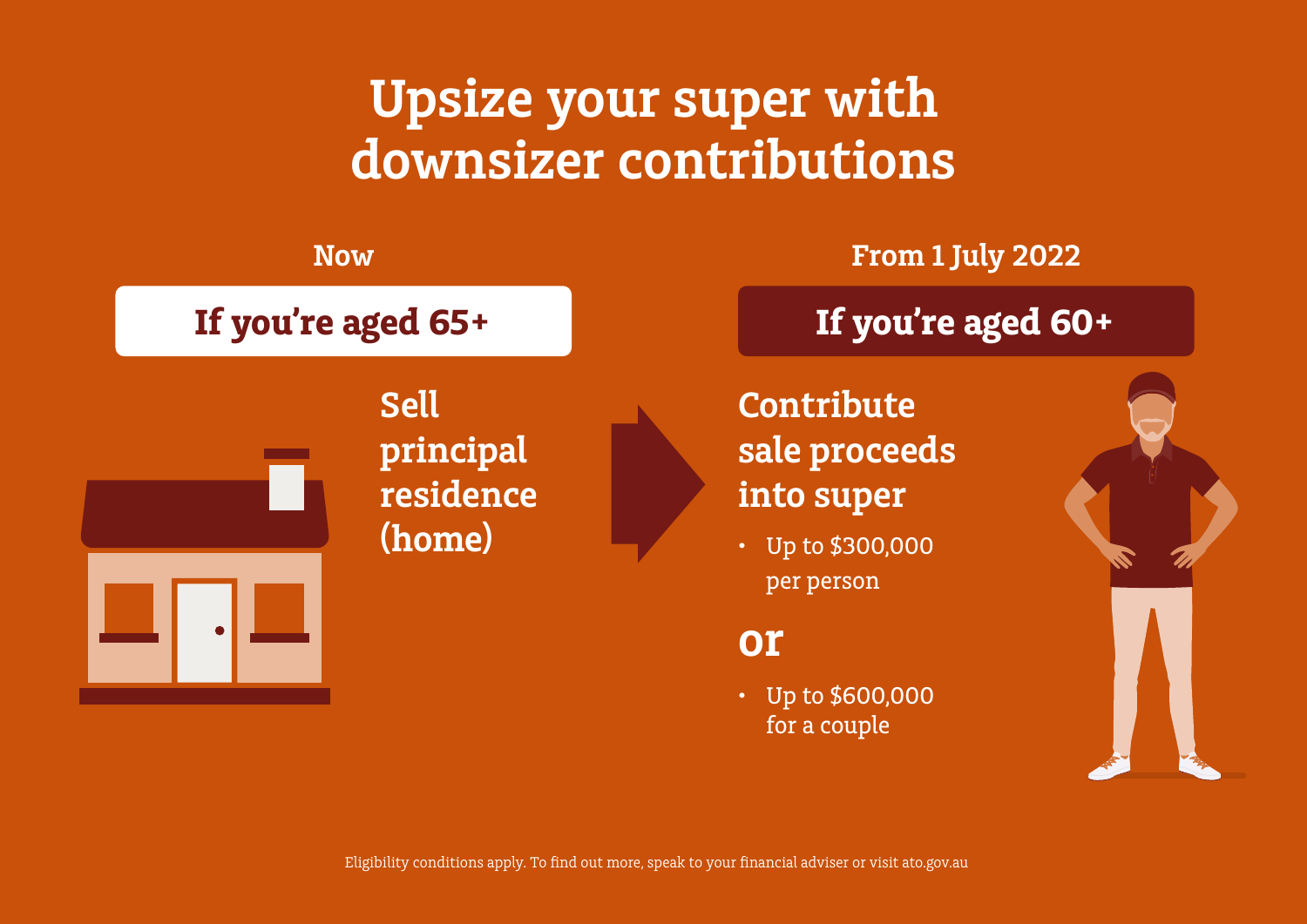#### **Upsize your super with downsizer contributions**